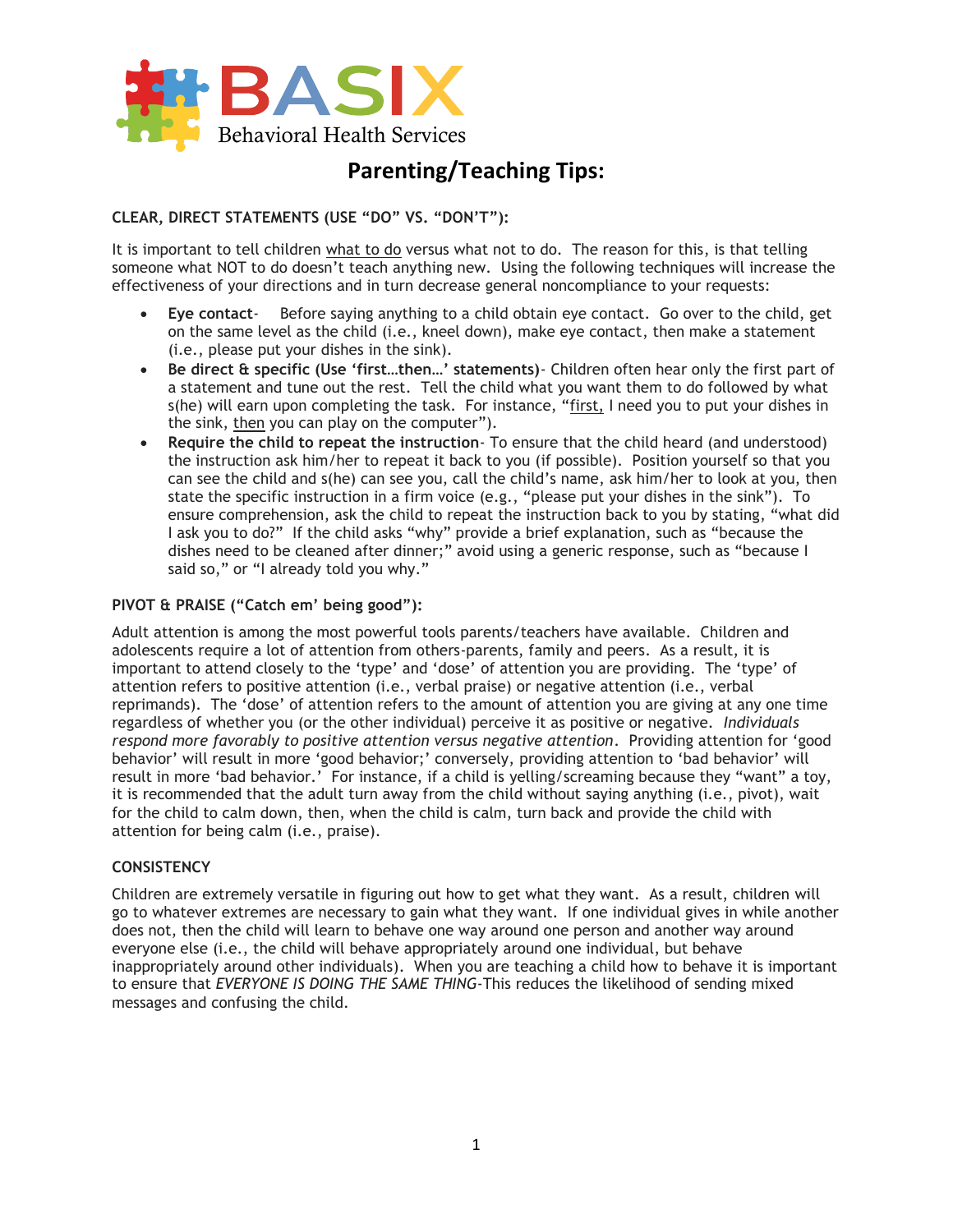

# **Parenting/Teaching Tips:**

## **CLEAR, DIRECT STATEMENTS (USE "DO" VS. "DON'T"):**

It is important to tell children what to do versus what not to do. The reason for this, is that telling someone what NOT to do doesn't teach anything new. Using the following techniques will increase the effectiveness of your directions and in turn decrease general noncompliance to your requests:

- **Eye contact** Before saying anything to a child obtain eye contact. Go over to the child, get on the same level as the child (i.e., kneel down), make eye contact, then make a statement (i.e., please put your dishes in the sink).
- **Be direct & specific (Use 'first…then…' statements)** Children often hear only the first part of a statement and tune out the rest. Tell the child what you want them to do followed by what s(he) will earn upon completing the task. For instance, "first, I need you to put your dishes in the sink, then you can play on the computer").
- **Require the child to repeat the instruction** To ensure that the child heard (and understood) the instruction ask him/her to repeat it back to you (if possible). Position yourself so that you can see the child and s(he) can see you, call the child's name, ask him/her to look at you, then state the specific instruction in a firm voice (e.g., "please put your dishes in the sink"). To ensure comprehension, ask the child to repeat the instruction back to you by stating, "what did I ask you to do?" If the child asks "why" provide a brief explanation, such as "because the dishes need to be cleaned after dinner;" avoid using a generic response, such as "because I said so," or "I already told you why."

## **PIVOT & PRAISE ("Catch em' being good"):**

Adult attention is among the most powerful tools parents/teachers have available. Children and adolescents require a lot of attention from others-parents, family and peers. As a result, it is important to attend closely to the 'type' and 'dose' of attention you are providing. The 'type' of attention refers to positive attention (i.e., verbal praise) or negative attention (i.e., verbal reprimands). The 'dose' of attention refers to the amount of attention you are giving at any one time regardless of whether you (or the other individual) perceive it as positive or negative. *Individuals respond more favorably to positive attention versus negative attention*. Providing attention for 'good behavior' will result in more 'good behavior;' conversely, providing attention to 'bad behavior' will result in more 'bad behavior.' For instance, if a child is yelling/screaming because they "want" a toy, it is recommended that the adult turn away from the child without saying anything (i.e., pivot), wait for the child to calm down, then, when the child is calm, turn back and provide the child with attention for being calm (i.e., praise).

#### **CONSISTENCY**

Children are extremely versatile in figuring out how to get what they want. As a result, children will go to whatever extremes are necessary to gain what they want. If one individual gives in while another does not, then the child will learn to behave one way around one person and another way around everyone else (i.e., the child will behave appropriately around one individual, but behave inappropriately around other individuals). When you are teaching a child how to behave it is important to ensure that *EVERYONE IS DOING THE SAME THING*-This reduces the likelihood of sending mixed messages and confusing the child.